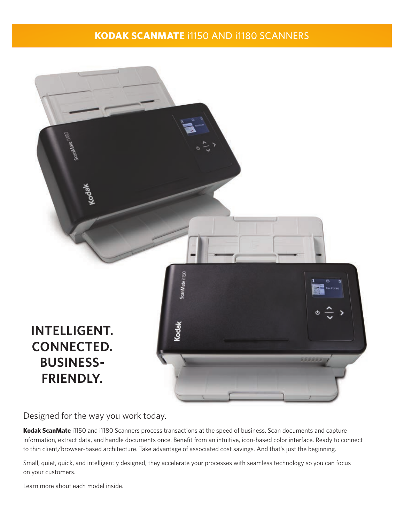## **KODAK SCANMATE** i1150 AND i1180 SCANNERS



Designed for the way you work today.

**Kodak ScanMate** i1150 and i1180 Scanners process transactions at the speed of business. Scan documents and capture information, extract data, and handle documents once. Benefit from an intuitive, icon-based color interface. Ready to connect to thin client/browser-based architecture. Take advantage of associated cost savings. And that's just the beginning.

Small, quiet, quick, and intelligently designed, they accelerate your processes with seamless technology so you can focus on your customers.

Learn more about each model inside.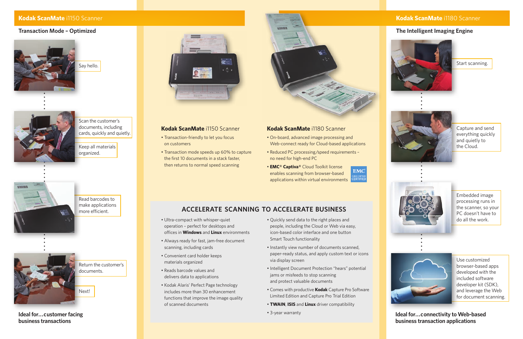Say hello.



Scan the customer's documents, including cards, quickly and quietly.

Keep all materials organized.



Read barcodes to make applications more efficient.



Return the customer's documents.

Next!

Start scanning.



Capture and send everything quickly and quietly to the Cloud.



Embedded image processing runs in the scanner, so your PC doesn't have to do all the work.



Use customized browser-based apps developed with the included software developer kit (SDK), and leverage the Web for document scanning.

### **Kodak ScanMate** i1150 Scanner

#### **Transaction Mode – Optimized**



## **The Intelligent Imaging Engine**



**Ideal for...customer facing business transactions**

**Ideal for...connectivity to Web-based business transaction applications**

#### **Kodak ScanMate** i1150 Scanner

- Transaction-friendly to let you focus on customers
- Transaction mode speeds up 60% to capture the first 10 documents in a stack faster, then returns to normal speed scanning



#### **Kodak ScanMate** i1180 Scanner

- On-board, advanced image processing and Web-connect ready for Cloud-based applications
- Reduced PC processing/speed requirements no need for high-end PC
- **EMC® Captiva®** Cloud Toolkit license enables scanning from browser-based applications within virtual environments





# **ACCELERATE SCANNING TO ACCELERATE BUSINESS**

- Ultra-compact with whisper-quiet operation – perfect for desktops and offices in **Windows** and **Linux** environments
- Always ready for fast, jam-free document scanning, including cards
- Convenient card holder keeps materials organized
- Reads barcode values and delivers data to applications
- Kodak Alaris' Perfect Page technology includes more than 30 enhancement functions that improve the image quality of scanned documents
- Quickly send data to the right places and people, including the Cloud or Web via easy, icon-based color interface and one button Smart Touch functionality
- Instantly view number of documents scanned, paper-ready status, and apply custom text or icons via display screen
- Intelligent Document Protection "hears" potential jams or misfeeds to stop scanning and protect valuable documents
- Comes with productive **Kodak** Capture Pro Software Limited Edition and Capture Pro Trial Edition
- **TWAIN**, **ISIS** and **Linux** driver compatibility
- 3-year warranty

## **Kodak ScanMate** i1180 Scanner